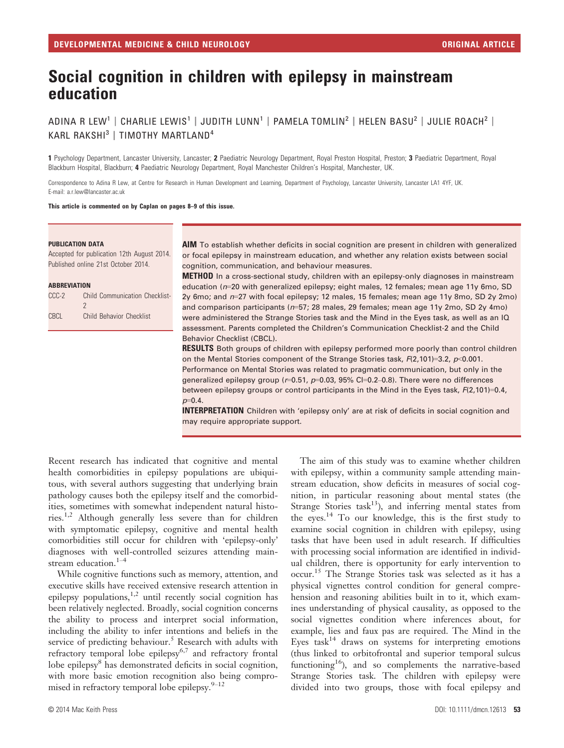# Social cognition in children with epilepsy in mainstream education

ADINA R LEW<sup>1</sup> | CHARLIE LEWIS<sup>1</sup> | JUDITH LUNN<sup>1</sup> | PAMELA TOMLIN<sup>2</sup> | HELEN BASU<sup>2</sup> | JULIE ROACH<sup>2</sup> | KARL RAKSHI<sup>3</sup> | TIMOTHY MARTLAND<sup>4</sup>

1 Psychology Department, Lancaster University, Lancaster; 2 Paediatric Neurology Department, Royal Preston Hospital, Preston; 3 Paediatric Department, Royal Blackburn Hospital, Blackburn; 4 Paediatric Neurology Department, Royal Manchester Children's Hospital, Manchester, UK.

Correspondence to Adina R Lew, at Centre for Research in Human Development and Learning, Department of Psychology, Lancaster University, Lancaster LA1 4YF, UK. E-mail: a.r.lew@lancaster.ac.uk

This article is commented on by Caplan on pages 8–9 of this issue.

#### PUBLICATION DATA

Accepted for publication 12th August 2014. Published online 21st October 2014.

#### **ARREVIATION**

| CCC-2 | Child Communication Checklist-  |
|-------|---------------------------------|
|       | 2                               |
| CBCL  | <b>Child Behavior Checklist</b> |

AIM To establish whether deficits in social cognition are present in children with generalized or focal epilepsy in mainstream education, and whether any relation exists between social cognition, communication, and behaviour measures.

**METHOD** In a cross-sectional study, children with an epilepsy-only diagnoses in mainstream education ( $n=20$  with generalized epilepsy; eight males, 12 females; mean age 11y 6mo, SD 2y 6mo; and n=27 with focal epilepsy; 12 males, 15 females; mean age 11y 8mo, SD 2y 2mo) and comparison participants (n=57; 28 males, 29 females; mean age 11y 2mo, SD 2y 4mo) were administered the Strange Stories task and the Mind in the Eyes task, as well as an IQ assessment. Parents completed the Children's Communication Checklist-2 and the Child Behavior Checklist (CBCL).

**RESULTS** Both groups of children with epilepsy performed more poorly than control children on the Mental Stories component of the Strange Stories task,  $F(2,101)=3.2$ ,  $p<0.001$ . Performance on Mental Stories was related to pragmatic communication, but only in the generalized epilepsy group ( $r=0.51$ ,  $p=0.03$ , 95% Cl=0.2-0.8). There were no differences between epilepsy groups or control participants in the Mind in the Eyes task,  $F(2,101)=0.4$ ,  $p=0.4$ .

INTERPRETATION Children with 'epilepsy only' are at risk of deficits in social cognition and may require appropriate support.

Recent research has indicated that cognitive and mental health comorbidities in epilepsy populations are ubiquitous, with several authors suggesting that underlying brain pathology causes both the epilepsy itself and the comorbidities, sometimes with somewhat independent natural histories.1,2 Although generally less severe than for children with symptomatic epilepsy, cognitive and mental health comorbidities still occur for children with 'epilepsy-only' diagnoses with well-controlled seizures attending mainstream education.<sup>1-4</sup>

While cognitive functions such as memory, attention, and executive skills have received extensive research attention in epilepsy populations, $1,2$  until recently social cognition has been relatively neglected. Broadly, social cognition concerns the ability to process and interpret social information, including the ability to infer intentions and beliefs in the service of predicting behaviour.<sup>5</sup> Research with adults with refractory temporal lobe epilepsy<sup>6,7</sup> and refractory frontal lobe epilepsy<sup>8</sup> has demonstrated deficits in social cognition, with more basic emotion recognition also being compromised in refractory temporal lobe epilepsy. $9-12$ 

The aim of this study was to examine whether children with epilepsy, within a community sample attending mainstream education, show deficits in measures of social cognition, in particular reasoning about mental states (the Strange Stories task<sup>13</sup>), and inferring mental states from the eyes.<sup>14</sup> To our knowledge, this is the first study to examine social cognition in children with epilepsy, using tasks that have been used in adult research. If difficulties with processing social information are identified in individual children, there is opportunity for early intervention to occur.<sup>15</sup> The Strange Stories task was selected as it has a physical vignettes control condition for general comprehension and reasoning abilities built in to it, which examines understanding of physical causality, as opposed to the social vignettes condition where inferences about, for example, lies and faux pas are required. The Mind in the Eyes  $task^{14}$  draws on systems for interpreting emotions (thus linked to orbitofrontal and superior temporal sulcus functioning<sup>16</sup>), and so complements the narrative-based Strange Stories task. The children with epilepsy were divided into two groups, those with focal epilepsy and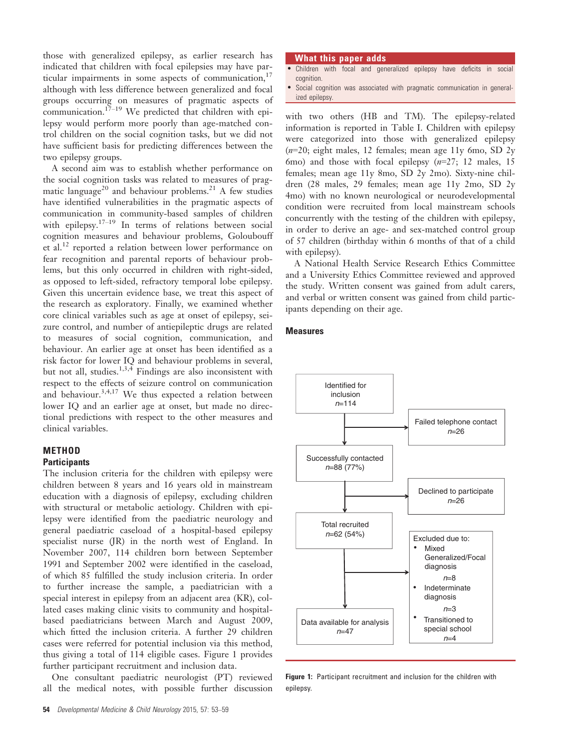those with generalized epilepsy, as earlier research has indicated that children with focal epilepsies may have particular impairments in some aspects of communication, $17$ although with less difference between generalized and focal groups occurring on measures of pragmatic aspects of communication.<sup>17-19</sup> We predicted that children with epilepsy would perform more poorly than age-matched control children on the social cognition tasks, but we did not have sufficient basis for predicting differences between the two epilepsy groups.

A second aim was to establish whether performance on the social cognition tasks was related to measures of pragmatic language<sup>20</sup> and behaviour problems.<sup>21</sup> A few studies have identified vulnerabilities in the pragmatic aspects of communication in community-based samples of children with epilepsy.<sup> $17-19$ </sup> In terms of relations between social cognition measures and behaviour problems, Goloubouff et al.<sup>12</sup> reported a relation between lower performance on fear recognition and parental reports of behaviour problems, but this only occurred in children with right-sided, as opposed to left-sided, refractory temporal lobe epilepsy. Given this uncertain evidence base, we treat this aspect of the research as exploratory. Finally, we examined whether core clinical variables such as age at onset of epilepsy, seizure control, and number of antiepileptic drugs are related to measures of social cognition, communication, and behaviour. An earlier age at onset has been identified as a risk factor for lower IQ and behaviour problems in several, but not all, studies.<sup>1,3,4</sup> Findings are also inconsistent with respect to the effects of seizure control on communication and behaviour.<sup>3,4,17</sup> We thus expected a relation between lower IQ and an earlier age at onset, but made no directional predictions with respect to the other measures and clinical variables.

## METHOD **Participants**

The inclusion criteria for the children with epilepsy were children between 8 years and 16 years old in mainstream education with a diagnosis of epilepsy, excluding children with structural or metabolic aetiology. Children with epilepsy were identified from the paediatric neurology and general paediatric caseload of a hospital-based epilepsy specialist nurse (JR) in the north west of England. In November 2007, 114 children born between September 1991 and September 2002 were identified in the caseload, of which 85 fulfilled the study inclusion criteria. In order to further increase the sample, a paediatrician with a special interest in epilepsy from an adjacent area (KR), collated cases making clinic visits to community and hospitalbased paediatricians between March and August 2009, which fitted the inclusion criteria. A further 29 children cases were referred for potential inclusion via this method, thus giving a total of 114 eligible cases. Figure 1 provides further participant recruitment and inclusion data.

One consultant paediatric neurologist (PT) reviewed all the medical notes, with possible further discussion

#### What this paper adds

- Children with focal and generalized epilepsy have deficits in social cognition
- Social cognition was associated with pragmatic communication in generalized epilepsy.

with two others (HB and TM). The epilepsy-related information is reported in Table I. Children with epilepsy were categorized into those with generalized epilepsy  $(n=20;$  eight males, 12 females; mean age 11y 6mo, SD 2y 6mo) and those with focal epilepsy  $(n=27; 12 \text{ males}, 15)$ females; mean age 11y 8mo, SD 2y 2mo). Sixty-nine children (28 males, 29 females; mean age 11y 2mo, SD 2y 4mo) with no known neurological or neurodevelopmental condition were recruited from local mainstream schools concurrently with the testing of the children with epilepsy, in order to derive an age- and sex-matched control group of 57 children (birthday within 6 months of that of a child with epilepsy).

A National Health Service Research Ethics Committee and a University Ethics Committee reviewed and approved the study. Written consent was gained from adult carers, and verbal or written consent was gained from child participants depending on their age.

## **Measures**



Figure 1: Participant recruitment and inclusion for the children with epilepsy.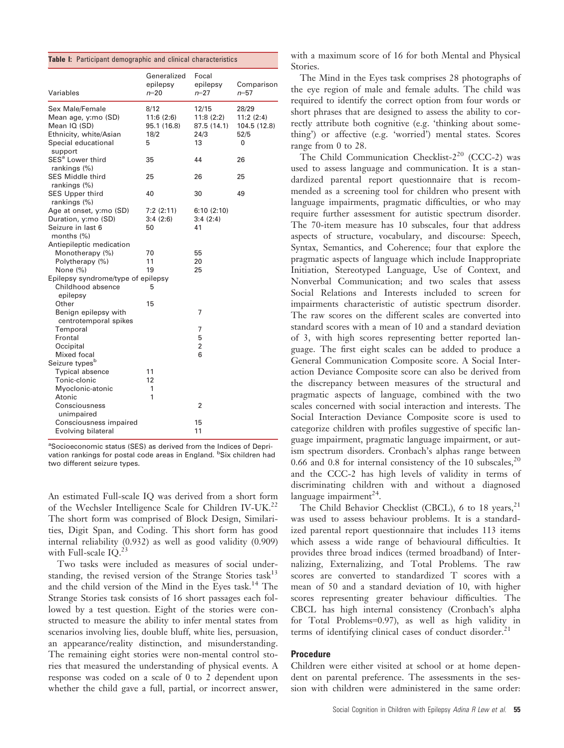|  |  |  |  | Table I: Participant demographic and clinical characteristics |
|--|--|--|--|---------------------------------------------------------------|
|--|--|--|--|---------------------------------------------------------------|

| Variables                                                                                               | Generalized<br>epilepsy<br>$n = 20$           | Focal<br>epilepsy<br>$n = 27$                   | Comparison<br>$n = 57$                          |
|---------------------------------------------------------------------------------------------------------|-----------------------------------------------|-------------------------------------------------|-------------------------------------------------|
| Sex Male/Female<br>Mean age, y:mo (SD)<br>Mean IQ (SD)<br>Ethnicity, white/Asian<br>Special educational | 8/12<br>11:6(2:6)<br>95.1 (16.8)<br>18/2<br>5 | 12/15<br>11:8(2:2)<br>87.5 (14.1)<br>24/3<br>13 | 28/29<br>11:2(2:4)<br>104.5 (12.8)<br>52/5<br>0 |
| support<br>SES <sup>a</sup> Lower third<br>rankings (%)                                                 | 35                                            | 44                                              | 26                                              |
| <b>SES Middle third</b><br>rankings (%)                                                                 | 25                                            | 26                                              | 25                                              |
| <b>SES Upper third</b><br>rankings (%)                                                                  | 40                                            | 30                                              | 49                                              |
| Age at onset, y:mo (SD)                                                                                 | 7:2(2:11)                                     | 6:10(2:10)                                      |                                                 |
| Duration, y:mo (SD)                                                                                     | 3:4(2:6)                                      | 3:4(2:4)                                        |                                                 |
| Seizure in last 6<br>months $(\%)$                                                                      | 50                                            | 41                                              |                                                 |
| Antiepileptic medication                                                                                |                                               |                                                 |                                                 |
| Monotherapy (%)                                                                                         | 70                                            | 55                                              |                                                 |
| Polytherapy (%)                                                                                         | 11                                            | 20                                              |                                                 |
| None (%)                                                                                                | 19                                            | 25                                              |                                                 |
| Epilepsy syndrome/type of epilepsy<br>Childhood absence<br>epilepsy                                     | 5                                             |                                                 |                                                 |
| Other                                                                                                   | 15                                            |                                                 |                                                 |
| Benign epilepsy with<br>centrotemporal spikes                                                           |                                               | 7                                               |                                                 |
| Temporal                                                                                                |                                               | $\overline{7}$                                  |                                                 |
| Frontal                                                                                                 |                                               | 5                                               |                                                 |
| Occipital                                                                                               |                                               | 2                                               |                                                 |
| Mixed focal                                                                                             |                                               | 6                                               |                                                 |
| Seizure types <sup>b</sup>                                                                              |                                               |                                                 |                                                 |
| <b>Typical absence</b>                                                                                  | 11                                            |                                                 |                                                 |
| Tonic-clonic                                                                                            | 12                                            |                                                 |                                                 |
| Myoclonic-atonic                                                                                        | 1                                             |                                                 |                                                 |
| Atonic<br>Consciousness<br>unimpaired                                                                   | 1                                             | 2                                               |                                                 |
| Consciousness impaired<br>Evolving bilateral                                                            |                                               | 15<br>11                                        |                                                 |
|                                                                                                         |                                               |                                                 |                                                 |

aSocioeconomic status (SES) as derived from the Indices of Deprivation rankings for postal code areas in England. <sup>b</sup>Six children had two different seizure types.

An estimated Full-scale IQ was derived from a short form of the Wechsler Intelligence Scale for Children IV-UK.<sup>22</sup> The short form was comprised of Block Design, Similarities, Digit Span, and Coding. This short form has good internal reliability (0.932) as well as good validity (0.909) with Full-scale IQ.<sup>23</sup>

Two tasks were included as measures of social understanding, the revised version of the Strange Stories task<sup>13</sup> and the child version of the Mind in the Eyes task.<sup>14</sup> The Strange Stories task consists of 16 short passages each followed by a test question. Eight of the stories were constructed to measure the ability to infer mental states from scenarios involving lies, double bluff, white lies, persuasion, an appearance/reality distinction, and misunderstanding. The remaining eight stories were non-mental control stories that measured the understanding of physical events. A response was coded on a scale of 0 to 2 dependent upon whether the child gave a full, partial, or incorrect answer,

with a maximum score of 16 for both Mental and Physical Stories.

The Mind in the Eyes task comprises 28 photographs of the eye region of male and female adults. The child was required to identify the correct option from four words or short phrases that are designed to assess the ability to correctly attribute both cognitive (e.g. 'thinking about something') or affective (e.g. 'worried') mental states. Scores range from 0 to 28.

The Child Communication Checklist-2<sup>20</sup> (CCC-2) was used to assess language and communication. It is a standardized parental report questionnaire that is recommended as a screening tool for children who present with language impairments, pragmatic difficulties, or who may require further assessment for autistic spectrum disorder. The 70-item measure has 10 subscales, four that address aspects of structure, vocabulary, and discourse: Speech, Syntax, Semantics, and Coherence; four that explore the pragmatic aspects of language which include Inappropriate Initiation, Stereotyped Language, Use of Context, and Nonverbal Communication; and two scales that assess Social Relations and Interests included to screen for impairments characteristic of autistic spectrum disorder. The raw scores on the different scales are converted into standard scores with a mean of 10 and a standard deviation of 3, with high scores representing better reported language. The first eight scales can be added to produce a General Communication Composite score. A Social Interaction Deviance Composite score can also be derived from the discrepancy between measures of the structural and pragmatic aspects of language, combined with the two scales concerned with social interaction and interests. The Social Interaction Deviance Composite score is used to categorize children with profiles suggestive of specific language impairment, pragmatic language impairment, or autism spectrum disorders. Cronbach's alphas range between 0.66 and 0.8 for internal consistency of the 10 subscales,  $20$ and the CCC-2 has high levels of validity in terms of discriminating children with and without a diagnosed language impairment $^{24}$ .

The Child Behavior Checklist (CBCL), 6 to 18 years,  $21$ was used to assess behaviour problems. It is a standardized parental report questionnaire that includes 113 items which assess a wide range of behavioural difficulties. It provides three broad indices (termed broadband) of Internalizing, Externalizing, and Total Problems. The raw scores are converted to standardized T scores with a mean of 50 and a standard deviation of 10, with higher scores representing greater behaviour difficulties. The CBCL has high internal consistency (Cronbach's alpha for Total Problems=0.97), as well as high validity in terms of identifying clinical cases of conduct disorder.<sup>21</sup>

# Procedure

Children were either visited at school or at home dependent on parental preference. The assessments in the session with children were administered in the same order: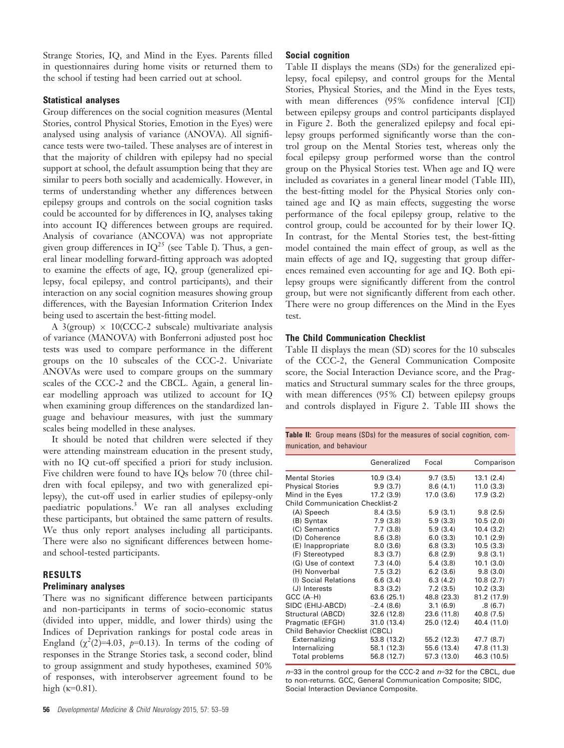Strange Stories, IQ, and Mind in the Eyes. Parents filled in questionnaires during home visits or returned them to the school if testing had been carried out at school.

#### Statistical analyses

Group differences on the social cognition measures (Mental Stories, control Physical Stories, Emotion in the Eyes) were analysed using analysis of variance (ANOVA). All significance tests were two-tailed. These analyses are of interest in that the majority of children with epilepsy had no special support at school, the default assumption being that they are similar to peers both socially and academically. However, in terms of understanding whether any differences between epilepsy groups and controls on the social cognition tasks could be accounted for by differences in IQ, analyses taking into account IQ differences between groups are required. Analysis of covariance (ANCOVA) was not appropriate given group differences in  $IQ^{25}$  (see Table I). Thus, a general linear modelling forward-fitting approach was adopted to examine the effects of age, IQ, group (generalized epilepsy, focal epilepsy, and control participants), and their interaction on any social cognition measures showing group differences, with the Bayesian Information Criterion Index being used to ascertain the best-fitting model.

A 3(group)  $\times$  10(CCC-2 subscale) multivariate analysis of variance (MANOVA) with Bonferroni adjusted post hoc tests was used to compare performance in the different groups on the 10 subscales of the CCC-2. Univariate ANOVAs were used to compare groups on the summary scales of the CCC-2 and the CBCL. Again, a general linear modelling approach was utilized to account for IQ when examining group differences on the standardized language and behaviour measures, with just the summary scales being modelled in these analyses.

It should be noted that children were selected if they were attending mainstream education in the present study, with no IQ cut-off specified a priori for study inclusion. Five children were found to have IQs below 70 (three children with focal epilepsy, and two with generalized epilepsy), the cut-off used in earlier studies of epilepsy-only paediatric populations.<sup>3</sup> We ran all analyses excluding these participants, but obtained the same pattern of results. We thus only report analyses including all participants. There were also no significant differences between homeand school-tested participants.

## RESULTS

#### Preliminary analyses

There was no significant difference between participants and non-participants in terms of socio-economic status (divided into upper, middle, and lower thirds) using the Indices of Deprivation rankings for postal code areas in England  $(\chi^2(2)=4.03, p=0.13)$ . In terms of the coding of responses in the Strange Stories task, a second coder, blind to group assignment and study hypotheses, examined 50% of responses, with interobserver agreement found to be high  $(k=0.81)$ .

Table II displays the means (SDs) for the generalized epilepsy, focal epilepsy, and control groups for the Mental Stories, Physical Stories, and the Mind in the Eyes tests, with mean differences (95% confidence interval [CI]) between epilepsy groups and control participants displayed in Figure 2. Both the generalized epilepsy and focal epilepsy groups performed significantly worse than the control group on the Mental Stories test, whereas only the focal epilepsy group performed worse than the control group on the Physical Stories test. When age and IQ were included as covariates in a general linear model (Table III), the best-fitting model for the Physical Stories only contained age and IQ as main effects, suggesting the worse performance of the focal epilepsy group, relative to the control group, could be accounted for by their lower IQ. In contrast, for the Mental Stories test, the best-fitting model contained the main effect of group, as well as the main effects of age and IQ, suggesting that group differences remained even accounting for age and IQ. Both epilepsy groups were significantly different from the control group, but were not significantly different from each other. There were no group differences on the Mind in the Eyes test.

#### The Child Communication Checklist

Table II displays the mean (SD) scores for the 10 subscales of the CCC-2, the General Communication Composite score, the Social Interaction Deviance score, and the Pragmatics and Structural summary scales for the three groups, with mean differences (95% CI) between epilepsy groups and controls displayed in Figure 2. Table III shows the

|                           |  |  | <b>Table II:</b> Group means (SDs) for the measures of social cognition, com- |  |  |
|---------------------------|--|--|-------------------------------------------------------------------------------|--|--|
| munication, and behaviour |  |  |                                                                               |  |  |

|                                        | Generalized | Focal       | Comparison  |
|----------------------------------------|-------------|-------------|-------------|
| <b>Mental Stories</b>                  | 10.9(3.4)   | 9.7(3.5)    | 13.1(2.4)   |
| <b>Physical Stories</b>                | 9.9(3.7)    | 8.6(4.1)    | 11.0(3.3)   |
| Mind in the Eyes                       | 17.2(3.9)   | 17.0(3.6)   | 17.9(3.2)   |
| <b>Child Communication Checklist-2</b> |             |             |             |
| (A) Speech                             | 8.4(3.5)    | 5.9(3.1)    | 9.8(2.5)    |
| (B) Syntax                             | 7.9(3.8)    | 5.9(3.3)    | 10.5(2.0)   |
| (C) Semantics                          | 7.7(3.8)    | 5.9(3.4)    | 10.4(3.2)   |
| (D) Coherence                          | 8.6(3.8)    | 6.0(3.3)    | 10.1(2.9)   |
| (E) Inappropriate                      | 8.0(3.6)    | 6.8(3.3)    | 10.5(3.3)   |
| (F) Stereotyped                        | 8.3(3.7)    | 6.8(2.9)    | 9.8(3.1)    |
| (G) Use of context                     | 7.3(4.0)    | 5.4(3.8)    | 10.1(3.0)   |
| (H) Nonverbal                          | 7.5(3.2)    | 6.2(3.6)    | 9.8(3.0)    |
| (I) Social Relations                   | 6.6(3.4)    | 6.3(4.2)    | 10.8(2.7)   |
| (J) Interests                          | 8.3(3.2)    | 7.2(3.5)    | 10.2(3.3)   |
| GCC (A-H)                              | 63.6 (25.1) | 48.8 (23.3) | 81.2 (17.9) |
| SIDC (EHIJ-ABCD)                       | $-2.4(8.6)$ | 3.1(6.9)    | .8(6.7)     |
| Structural (ABCD)                      | 32.6 (12.8) | 23.6 (11.8) | 40.8 (7.5)  |
| Pragmatic (EFGH)                       | 31.0(13.4)  | 25.0 (12.4) | 40.4 (11.0) |
| Child Behavior Checklist (CBCL)        |             |             |             |
| Externalizing                          | 53.8 (13.2) | 55.2 (12.3) | 47.7 (8.7)  |
| Internalizing                          | 58.1 (12.3) | 55.6 (13.4) | 47.8 (11.3) |
| Total problems                         | 56.8 (12.7) | 57.3 (13.0) | 46.3 (10.5) |

 $n=33$  in the control group for the CCC-2 and  $n=32$  for the CBCL, due to non-returns. GCC, General Communication Composite; SIDC, Social Interaction Deviance Composite.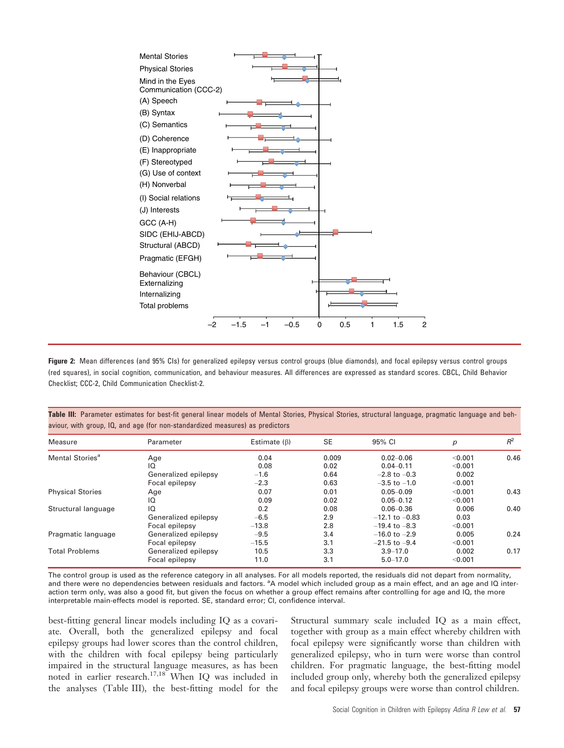

Figure 2: Mean differences (and 95% CIs) for generalized epilepsy versus control groups (blue diamonds), and focal epilepsy versus control groups (red squares), in social cognition, communication, and behaviour measures. All differences are expressed as standard scores. CBCL, Child Behavior Checklist; CCC-2, Child Communication Checklist-2.

| aviour, with group, IQ, and age (for non-standardized measures) as predictors |                      |                    |           |                    |         |       |  |  |
|-------------------------------------------------------------------------------|----------------------|--------------------|-----------|--------------------|---------|-------|--|--|
| Measure                                                                       | Parameter            | Estimate $(\beta)$ | <b>SE</b> | 95% CI             | р       | $R^2$ |  |  |
| Mental Stories <sup>a</sup>                                                   | Age                  | 0.04               | 0.009     | $0.02 - 0.06$      | < 0.001 | 0.46  |  |  |
|                                                                               | IQ                   | 0.08               | 0.02      | $0.04 - 0.11$      | < 0.001 |       |  |  |
|                                                                               | Generalized epilepsy | $-1.6$             | 0.64      | $-2.8$ to $-0.3$   | 0.002   |       |  |  |
|                                                                               | Focal epilepsy       | $-2.3$             | 0.63      | $-3.5$ to $-1.0$   | < 0.001 |       |  |  |
| <b>Physical Stories</b>                                                       | Age                  | 0.07               | 0.01      | $0.05 - 0.09$      | < 0.001 | 0.43  |  |  |
|                                                                               | IQ                   | 0.09               | 0.02      | $0.05 - 0.12$      | < 0.001 |       |  |  |
| Structural language                                                           | IQ                   | 0.2                | 0.08      | $0.06 - 0.36$      | 0.006   | 0.40  |  |  |
|                                                                               | Generalized epilepsy | $-6.5$             | 2.9       | $-12.1$ to $-0.83$ | 0.03    |       |  |  |
|                                                                               | Focal epilepsy       | $-13.8$            | 2.8       | $-19.4$ to $-8.3$  | < 0.001 |       |  |  |
| Pragmatic language                                                            | Generalized epilepsy | $-9.5$             | 3.4       | $-16.0$ to $-2.9$  | 0.005   | 0.24  |  |  |
|                                                                               | Focal epilepsy       | $-15.5$            | 3.1       | $-21.5$ to $-9.4$  | < 0.001 |       |  |  |

Table III: Parameter estimates for best-fit general linear models of Mental Stories, Physical Stories, structural language, pragmatic language and beh-

The control group is used as the reference category in all analyses. For all models reported, the residuals did not depart from normality, and there were no dependencies between residuals and factors. <sup>a</sup>A model which included group as a main effect, and an age and IQ interaction term only, was also a good fit, but given the focus on whether a group effect remains after controlling for age and IQ, the more interpretable main-effects model is reported. SE, standard error; CI, confidence interval.

Total Problems Generalized epilepsy 10.5 3.3 3.9–17.0 0.002 0.17

Focal epilepsy 11.0 3.1 5.0–17.0 <0.001

best-fitting general linear models including IQ as a covariate. Overall, both the generalized epilepsy and focal epilepsy groups had lower scores than the control children, with the children with focal epilepsy being particularly impaired in the structural language measures, as has been noted in earlier research.17,18 When IQ was included in the analyses (Table III), the best-fitting model for the

Structural summary scale included IQ as a main effect, together with group as a main effect whereby children with focal epilepsy were significantly worse than children with generalized epilepsy, who in turn were worse than control children. For pragmatic language, the best-fitting model included group only, whereby both the generalized epilepsy and focal epilepsy groups were worse than control children.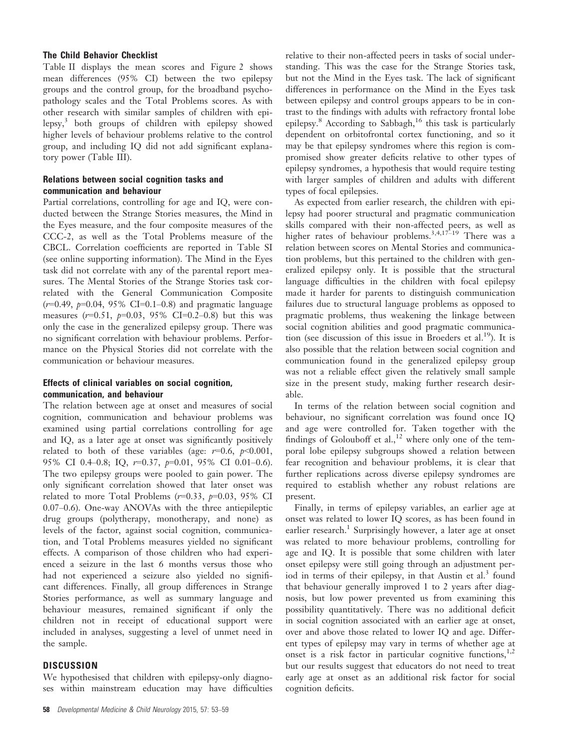## The Child Behavior Checklist

Table II displays the mean scores and Figure 2 shows mean differences (95% CI) between the two epilepsy groups and the control group, for the broadband psychopathology scales and the Total Problems scores. As with other research with similar samples of children with epilepsy, $3$  both groups of children with epilepsy showed higher levels of behaviour problems relative to the control group, and including IQ did not add significant explanatory power (Table III).

## Relations between social cognition tasks and communication and behaviour

Partial correlations, controlling for age and IQ, were conducted between the Strange Stories measures, the Mind in the Eyes measure, and the four composite measures of the CCC-2, as well as the Total Problems measure of the CBCL. Correlation coefficients are reported in Table SI (see online supporting information). The Mind in the Eyes task did not correlate with any of the parental report measures. The Mental Stories of the Strange Stories task correlated with the General Communication Composite  $(r=0.49, p=0.04, 95\% \text{ CI} = 0.1 - 0.8)$  and pragmatic language measures  $(r=0.51, p=0.03, 95\% \text{ CI}=0.2-0.8)$  but this was only the case in the generalized epilepsy group. There was no significant correlation with behaviour problems. Performance on the Physical Stories did not correlate with the communication or behaviour measures.

## Effects of clinical variables on social cognition, communication, and behaviour

The relation between age at onset and measures of social cognition, communication and behaviour problems was examined using partial correlations controlling for age and IQ, as a later age at onset was significantly positively related to both of these variables (age:  $r=0.6$ ,  $p<0.001$ , 95% CI 0.4–0.8; IQ,  $r=0.37$ ,  $p=0.01$ , 95% CI 0.01–0.6). The two epilepsy groups were pooled to gain power. The only significant correlation showed that later onset was related to more Total Problems  $(r=0.33, p=0.03, 95\% \text{ CI}$ 0.07–0.6). One-way ANOVAs with the three antiepileptic drug groups (polytherapy, monotherapy, and none) as levels of the factor, against social cognition, communication, and Total Problems measures yielded no significant effects. A comparison of those children who had experienced a seizure in the last 6 months versus those who had not experienced a seizure also yielded no significant differences. Finally, all group differences in Strange Stories performance, as well as summary language and behaviour measures, remained significant if only the children not in receipt of educational support were included in analyses, suggesting a level of unmet need in the sample.

#### **DISCUSSION**

We hypothesised that children with epilepsy-only diagnoses within mainstream education may have difficulties relative to their non-affected peers in tasks of social understanding. This was the case for the Strange Stories task, but not the Mind in the Eyes task. The lack of significant differences in performance on the Mind in the Eyes task between epilepsy and control groups appears to be in contrast to the findings with adults with refractory frontal lobe epilepsy.<sup>8</sup> According to Sabbagh,<sup>16</sup> this task is particularly dependent on orbitofrontal cortex functioning, and so it may be that epilepsy syndromes where this region is compromised show greater deficits relative to other types of epilepsy syndromes, a hypothesis that would require testing with larger samples of children and adults with different types of focal epilepsies.

As expected from earlier research, the children with epilepsy had poorer structural and pragmatic communication skills compared with their non-affected peers, as well as higher rates of behaviour problems.<sup>3,4,17-19</sup> There was a relation between scores on Mental Stories and communication problems, but this pertained to the children with generalized epilepsy only. It is possible that the structural language difficulties in the children with focal epilepsy made it harder for parents to distinguish communication failures due to structural language problems as opposed to pragmatic problems, thus weakening the linkage between social cognition abilities and good pragmatic communication (see discussion of this issue in Broeders et al.<sup>19</sup>). It is also possible that the relation between social cognition and communication found in the generalized epilepsy group was not a reliable effect given the relatively small sample size in the present study, making further research desirable.

In terms of the relation between social cognition and behaviour, no significant correlation was found once IQ and age were controlled for. Taken together with the findings of Golouboff et al.,<sup>12</sup> where only one of the temporal lobe epilepsy subgroups showed a relation between fear recognition and behaviour problems, it is clear that further replications across diverse epilepsy syndromes are required to establish whether any robust relations are present.

Finally, in terms of epilepsy variables, an earlier age at onset was related to lower IQ scores, as has been found in earlier research.<sup>1</sup> Surprisingly however, a later age at onset was related to more behaviour problems, controlling for age and IQ. It is possible that some children with later onset epilepsy were still going through an adjustment period in terms of their epilepsy, in that Austin et al.<sup>3</sup> found that behaviour generally improved 1 to 2 years after diagnosis, but low power prevented us from examining this possibility quantitatively. There was no additional deficit in social cognition associated with an earlier age at onset, over and above those related to lower IQ and age. Different types of epilepsy may vary in terms of whether age at onset is a risk factor in particular cognitive functions, $1,2$ but our results suggest that educators do not need to treat early age at onset as an additional risk factor for social cognition deficits.